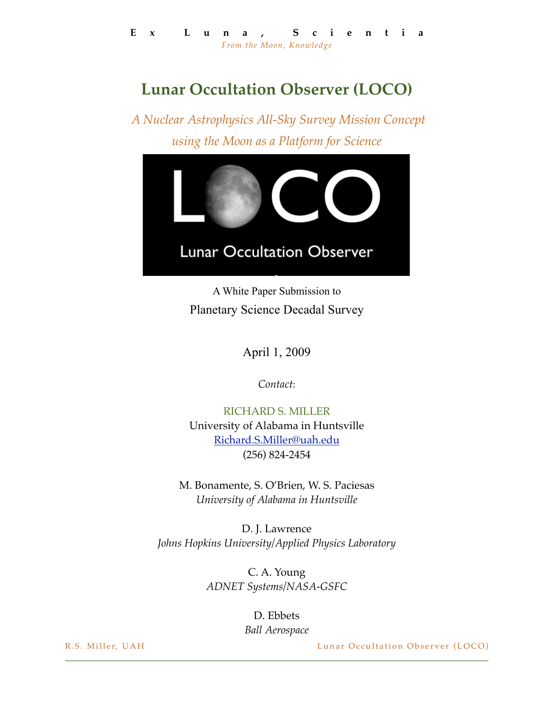## **Lunar Occultation Observer (LOCO)**

 *A Nuclear Astrophysics All-Sky Survey Mission Concept using the Moon as a Platform for Science*



A White Paper Submission to Planetary Science Decadal Survey

April 1, 2009

*Contact*:

RICHARD S. MILLER University of Alabama in Huntsville [Richard.S.Miller@uah.edu](mailto:Richard.S.Miller@uah.edu) (256) 824-2454

M. Bonamente, S. O'Brien, W. S. Paciesas *University of Alabama in Huntsville*

D. J. Lawrence *Johns Hopkins University/Applied Physics Laboratory*

> C. A. Young *ADNET Systems/NASA-GSFC*

> > D. Ebbets *Ball Aerospace*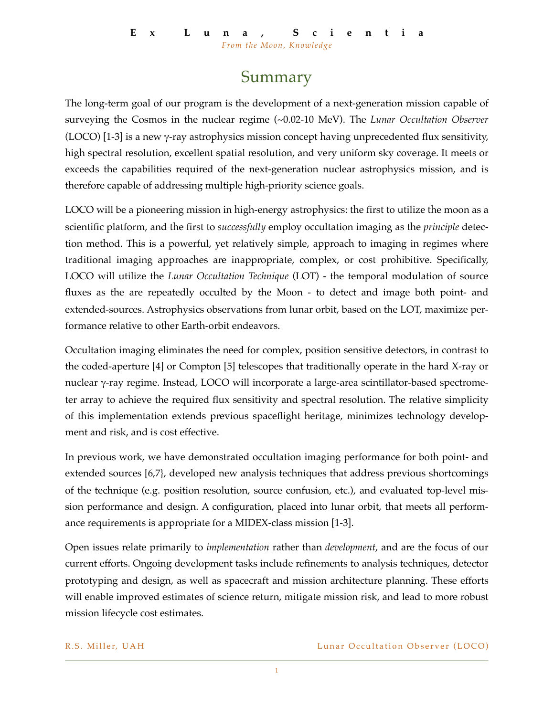## Summary

The long-term goal of our program is the development of a next-generation mission capable of surveying the Cosmos in the nuclear regime (~0.02-10 MeV). The *Lunar Occultation Observer* (LOCO) [1-3] is a new  $\gamma$ -ray astrophysics mission concept having unprecedented flux sensitivity, high spectral resolution, excellent spatial resolution, and very uniform sky coverage. It meets or exceeds the capabilities required of the next-generation nuclear astrophysics mission, and is therefore capable of addressing multiple high-priority science goals.

LOCO will be a pioneering mission in high-energy astrophysics: the first to utilize the moon as a scientific platform, and the first to *successfully* employ occultation imaging as the *principle* detection method. This is a powerful, yet relatively simple, approach to imaging in regimes where traditional imaging approaches are inappropriate, complex, or cost prohibitive. Specifically, LOCO will utilize the *Lunar Occultation Technique* (LOT) - the temporal modulation of source fluxes as the are repeatedly occulted by the Moon - to detect and image both point- and extended-sources. Astrophysics observations from lunar orbit, based on the LOT, maximize performance relative to other Earth-orbit endeavors.

Occultation imaging eliminates the need for complex, position sensitive detectors, in contrast to the coded-aperture [4] or Compton [5] telescopes that traditionally operate in the hard X-ray or nuclear γ-ray regime. Instead, LOCO will incorporate a large-area scintillator-based spectrometer array to achieve the required flux sensitivity and spectral resolution. The relative simplicity of this implementation extends previous spaceflight heritage, minimizes technology development and risk, and is cost effective.

In previous work, we have demonstrated occultation imaging performance for both point- and extended sources [6,7}, developed new analysis techniques that address previous shortcomings of the technique (e.g. position resolution, source confusion, etc.), and evaluated top-level mission performance and design. A configuration, placed into lunar orbit, that meets all performance requirements is appropriate for a MIDEX-class mission [1-3].

Open issues relate primarily to *implementation* rather than *development*, and are the focus of our current efforts. Ongoing development tasks include refinements to analysis techniques, detector prototyping and design, as well as spacecraft and mission architecture planning. These efforts will enable improved estimates of science return, mitigate mission risk, and lead to more robust mission lifecycle cost estimates.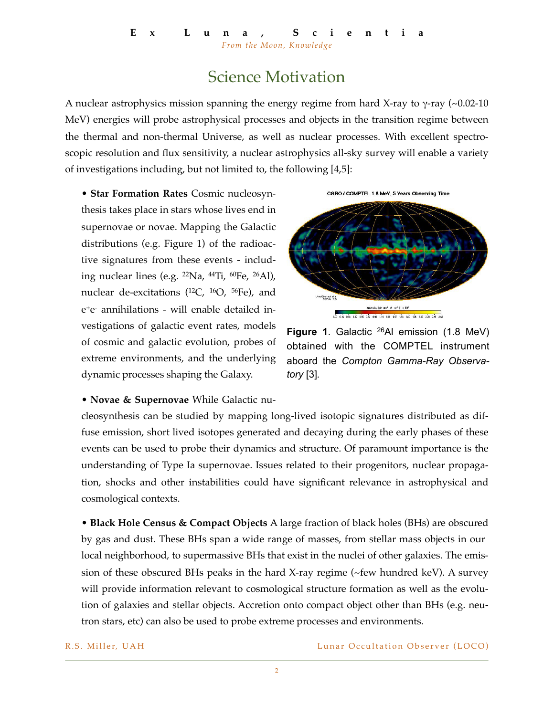## Science Motivation

A nuclear astrophysics mission spanning the energy regime from hard X-ray to γ-ray (~0.02-10 MeV) energies will probe astrophysical processes and objects in the transition regime between the thermal and non-thermal Universe, as well as nuclear processes. With excellent spectroscopic resolution and flux sensitivity, a nuclear astrophysics all-sky survey will enable a variety of investigations including, but not limited to, the following [4,5]:

• **Star Formation Rates** Cosmic nucleosynthesis takes place in stars whose lives end in supernovae or novae. Mapping the Galactic distributions (e.g. Figure 1) of the radioactive signatures from these events - including nuclear lines (e.g.  $22Na$ ,  $44Ti$ ,  $60Fe$ ,  $26AI$ ), nuclear de-excitations  $(12C, 16O, 56Fe)$ , and e+e- annihilations - will enable detailed investigations of galactic event rates, models of cosmic and galactic evolution, probes of extreme environments, and the underlying dynamic processes shaping the Galaxy.





**Figure 1**. Galactic 26Al emission (1.8 MeV) obtained with the COMPTEL instrument aboard the *Compton Gamma-Ray Observatory* [3]*.*

• **Novae & Supernovae** While Galactic nu-

cleosynthesis can be studied by mapping long-lived isotopic signatures distributed as diffuse emission, short lived isotopes generated and decaying during the early phases of these events can be used to probe their dynamics and structure. Of paramount importance is the understanding of Type Ia supernovae. Issues related to their progenitors, nuclear propagation, shocks and other instabilities could have significant relevance in astrophysical and cosmological contexts.

• **Black Hole Census & Compact Objects** A large fraction of black holes (BHs) are obscured by gas and dust. These BHs span a wide range of masses, from stellar mass objects in our local neighborhood, to supermassive BHs that exist in the nuclei of other galaxies. The emission of these obscured BHs peaks in the hard X-ray regime (~few hundred keV). A survey will provide information relevant to cosmological structure formation as well as the evolution of galaxies and stellar objects. Accretion onto compact object other than BHs (e.g. neutron stars, etc) can also be used to probe extreme processes and environments.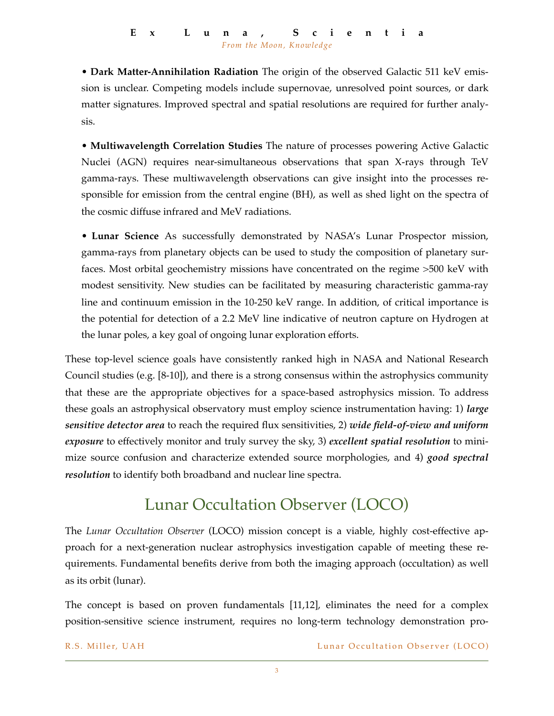• **Dark Matter-Annihilation Radiation** The origin of the observed Galactic 511 keV emission is unclear. Competing models include supernovae, unresolved point sources, or dark matter signatures. Improved spectral and spatial resolutions are required for further analysis.

• **Multiwavelength Correlation Studies** The nature of processes powering Active Galactic Nuclei (AGN) requires near-simultaneous observations that span X-rays through TeV gamma-rays. These multiwavelength observations can give insight into the processes responsible for emission from the central engine (BH), as well as shed light on the spectra of the cosmic diffuse infrared and MeV radiations.

• **Lunar Science** As successfully demonstrated by NASA's Lunar Prospector mission, gamma-rays from planetary objects can be used to study the composition of planetary surfaces. Most orbital geochemistry missions have concentrated on the regime >500 keV with modest sensitivity. New studies can be facilitated by measuring characteristic gamma-ray line and continuum emission in the 10-250 keV range. In addition, of critical importance is the potential for detection of a 2.2 MeV line indicative of neutron capture on Hydrogen at the lunar poles, a key goal of ongoing lunar exploration efforts.

These top-level science goals have consistently ranked high in NASA and National Research Council studies (e.g. [8-10]), and there is a strong consensus within the astrophysics community that these are the appropriate objectives for a space-based astrophysics mission. To address these goals an astrophysical observatory must employ science instrumentation having: 1) *large sensitive detector area* to reach the required flux sensitivities, 2) *wide field-of-view and uniform exposure* to effectively monitor and truly survey the sky, 3) *excellent spatial resolution* to minimize source confusion and characterize extended source morphologies, and 4) *good spectral resolution* to identify both broadband and nuclear line spectra.

# Lunar Occultation Observer (LOCO)

The *Lunar Occultation Observer* (LOCO) mission concept is a viable, highly cost-effective approach for a next-generation nuclear astrophysics investigation capable of meeting these requirements. Fundamental benefits derive from both the imaging approach (occultation) as well as its orbit (lunar).

The concept is based on proven fundamentals [11,12], eliminates the need for a complex position-sensitive science instrument, requires no long-term technology demonstration pro-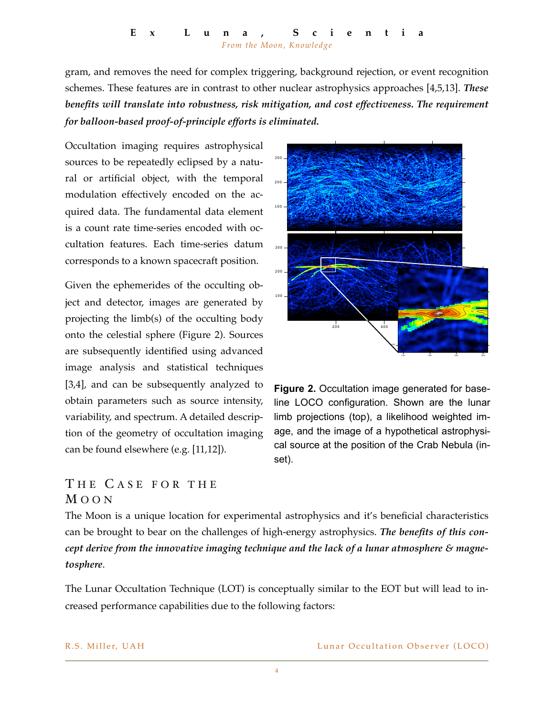#### **Ex Luna, Scientia** *From the Moon, Knowledge*

gram, and removes the need for complex triggering, background rejection, or event recognition schemes. These features are in contrast to other nuclear astrophysics approaches [4,5,13]. *These benefits will translate into robustness, risk mitigation, and cost effectiveness. The requirement for balloon-based proof-of-principle efforts is eliminated.*

Occultation imaging requires astrophysical sources to be repeatedly eclipsed by a natural or artificial object, with the temporal modulation effectively encoded on the acquired data. The fundamental data element is a count rate time-series encoded with occultation features. Each time-series datum corresponds to a known spacecraft position.

Given the ephemerides of the occulting object and detector, images are generated by projecting the limb(s) of the occulting body onto the celestial sphere (Figure 2). Sources are subsequently identified using advanced image analysis and statistical techniques [3,4], and can be subsequently analyzed to obtain parameters such as source intensity, variability, and spectrum. A detailed description of the geometry of occultation imaging can be found elsewhere (e.g. [11,12]).



**Figure 2.** Occultation image generated for baseline LOCO configuration. Shown are the lunar limb projections (top), a likelihood weighted image, and the image of a hypothetical astrophysical source at the position of the Crab Nebula (inset).

### THE CASE FOR THE M OON

The Moon is a unique location for experimental astrophysics and it's beneficial characteristics can be brought to bear on the challenges of high-energy astrophysics. *The benefits of this concept derive from the innovative imaging technique and the lack of a lunar atmosphere & magnetosphere*.

The Lunar Occultation Technique (LOT) is conceptually similar to the EOT but will lead to increased performance capabilities due to the following factors: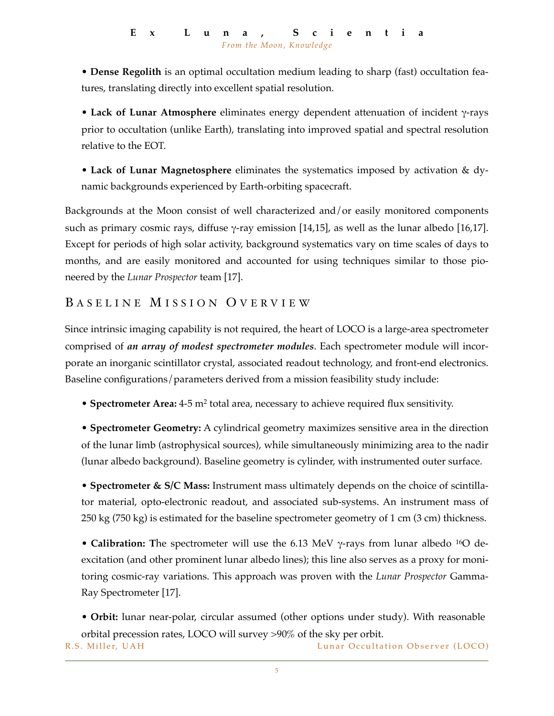• **Dense Regolith** is an optimal occultation medium leading to sharp (fast) occultation features, translating directly into excellent spatial resolution.

• **Lack of Lunar Atmosphere** eliminates energy dependent attenuation of incident γ-rays prior to occultation (unlike Earth), translating into improved spatial and spectral resolution relative to the EOT.

• **Lack of Lunar Magnetosphere** eliminates the systematics imposed by activation & dynamic backgrounds experienced by Earth-orbiting spacecraft.

Backgrounds at the Moon consist of well characterized and/or easily monitored components such as primary cosmic rays, diffuse  $\gamma$ -ray emission [14,15], as well as the lunar albedo [16,17]. Except for periods of high solar activity, background systematics vary on time scales of days to months, and are easily monitored and accounted for using techniques similar to those pioneered by the *Lunar Prospector* team [17].

## BASELINE MISSION OVERVIEW

Since intrinsic imaging capability is not required, the heart of LOCO is a large-area spectrometer comprised of *an array of modest spectrometer modules*. Each spectrometer module will incorporate an inorganic scintillator crystal, associated readout technology, and front-end electronics. Baseline configurations/parameters derived from a mission feasibility study include:

• **Spectrometer Area:** 4-5 m2 total area, necessary to achieve required flux sensitivity.

• **Spectrometer Geometry:** A cylindrical geometry maximizes sensitive area in the direction of the lunar limb (astrophysical sources), while simultaneously minimizing area to the nadir (lunar albedo background). Baseline geometry is cylinder, with instrumented outer surface.

• **Spectrometer & S/C Mass:** Instrument mass ultimately depends on the choice of scintillator material, opto-electronic readout, and associated sub-systems. An instrument mass of 250 kg (750 kg) is estimated for the baseline spectrometer geometry of 1 cm (3 cm) thickness.

• **Calibration:** The spectrometer will use the 6.13 MeV γ-rays from lunar albedo <sup>16</sup>O deexcitation (and other prominent lunar albedo lines); this line also serves as a proxy for monitoring cosmic-ray variations. This approach was proven with the *Lunar Prospector* Gamma-Ray Spectrometer [17].

• **Orbit:** lunar near-polar, circular assumed (other options under study). With reasonable orbital precession rates, LOCO will survey >90% of the sky per orbit.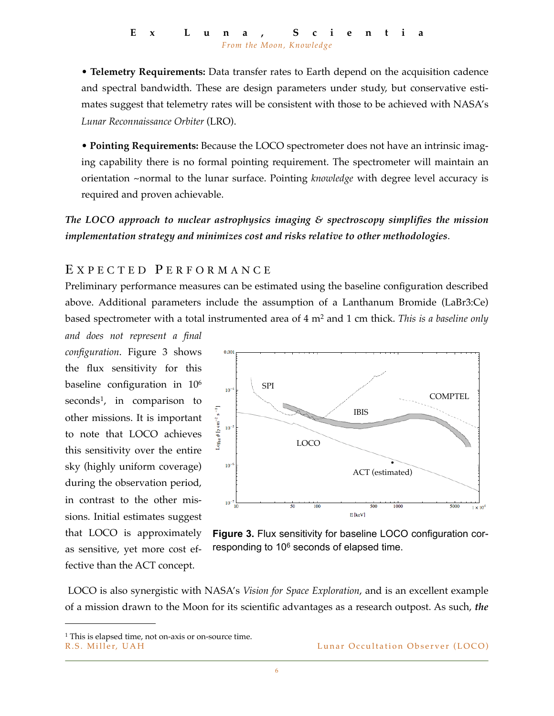• **Telemetry Requirements:** Data transfer rates to Earth depend on the acquisition cadence and spectral bandwidth. These are design parameters under study, but conservative estimates suggest that telemetry rates will be consistent with those to be achieved with NASA's *Lunar Reconnaissance Orbiter* (LRO).

• **Pointing Requirements:** Because the LOCO spectrometer does not have an intrinsic imaging capability there is no formal pointing requirement. The spectrometer will maintain an orientation ~normal to the lunar surface. Pointing *knowledge* with degree level accuracy is required and proven achievable.

*The LOCO approach to nuclear astrophysics imaging & spectroscopy simplifies the mission implementation strategy and minimizes cost and risks relative to other methodologies*.

#### EXPECTED PERFORMANCE

Preliminary performance measures can be estimated using the baseline configuration described above. Additional parameters include the assumption of a Lanthanum Bromide (LaBr3:Ce) based spectrometer with a total instrumented area of 4 m2 and 1 cm thick. *This is a baseline only* 

*and does not represent a final configuration*. Figure 3 shows the flux sensitivity for this baseline configuration in 106 seconds<sup>1</sup>, in comparison to other missions. It is important to note that LOCO achieves this sensitivity over the entire sky (highly uniform coverage) during the observation period, in contrast to the other missions. Initial estimates suggest that LOCO is approximately as sensitive, yet more cost effective than the ACT concept.



**Figure 3.** Flux sensitivity for baseline LOCO configuration corresponding to 10<sup>6</sup> seconds of elapsed time.

 LOCO is also synergistic with NASA's *Vision for Space Exploration*, and is an excellent example of a mission drawn to the Moon for its scientific advantages as a research outpost. As such, *the* 

R.S. Miller, UAH **R.S. Miller, UA H** Lunar Occultation Observer (LOCO)

<span id="page-6-0"></span><sup>1</sup> This is elapsed time, not on-axis or on-source time.